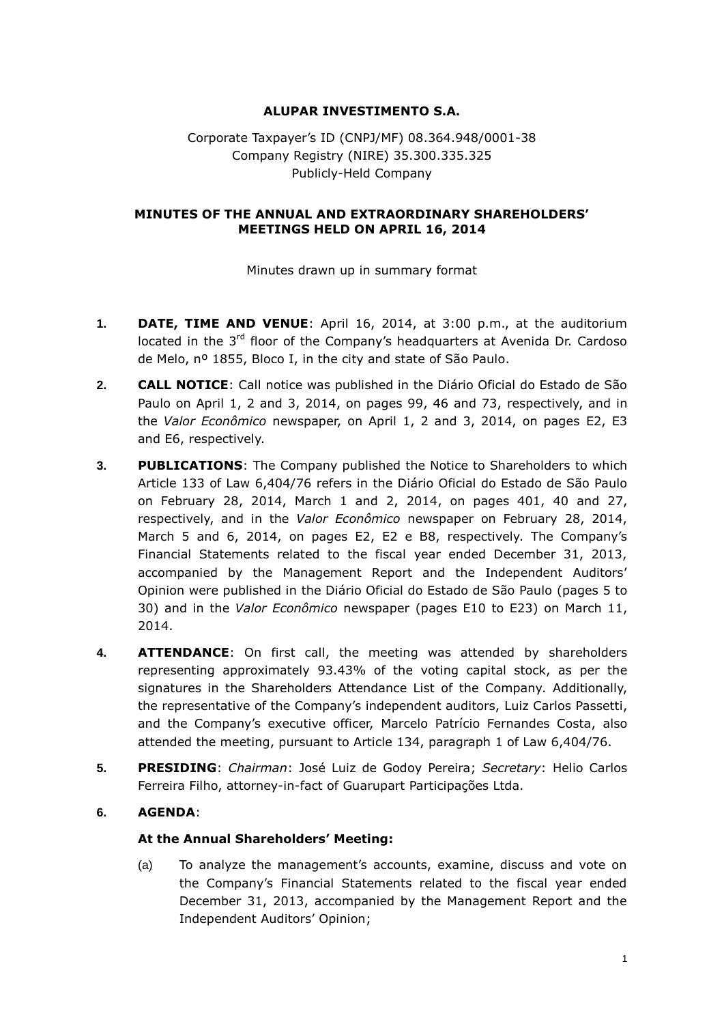# **ALUPAR INVESTIMENTO S.A.**

# Corporate Taxpayer's ID (CNPJ/MF) 08.364.948/0001-38 Company Registry (NIRE) 35.300.335.325 Publicly-Held Company

### **MINUTES OF THE ANNUAL AND EXTRAORDINARY SHAREHOLDERS' MEETINGS HELD ON APRIL 16, 2014**

Minutes drawn up in summary format

- **1. DATE, TIME AND VENUE**: April 16, 2014, at 3:00 p.m., at the auditorium located in the 3<sup>rd</sup> floor of the Company's headquarters at Avenida Dr. Cardoso de Melo, nº 1855, Bloco I, in the city and state of São Paulo.
- **2. CALL NOTICE**: Call notice was published in the Diário Oficial do Estado de São Paulo on April 1, 2 and 3, 2014, on pages 99, 46 and 73, respectively, and in the *Valor Econômico* newspaper, on April 1, 2 and 3, 2014, on pages E2, E3 and E6, respectively.
- **3. PUBLICATIONS**: The Company published the Notice to Shareholders to which Article 133 of Law 6,404/76 refers in the Diário Oficial do Estado de São Paulo on February 28, 2014, March 1 and 2, 2014, on pages 401, 40 and 27, respectively, and in the *Valor Econômico* newspaper on February 28, 2014, March 5 and 6, 2014, on pages E2, E2 e B8, respectively. The Company's Financial Statements related to the fiscal year ended December 31, 2013, accompanied by the Management Report and the Independent Auditors' Opinion were published in the Diário Oficial do Estado de São Paulo (pages 5 to 30) and in the *Valor Econômico* newspaper (pages E10 to E23) on March 11, 2014.
- **4. ATTENDANCE**: On first call, the meeting was attended by shareholders representing approximately 93.43% of the voting capital stock, as per the signatures in the Shareholders Attendance List of the Company. Additionally, the representative of the Company's independent auditors, Luiz Carlos Passetti, and the Company's executive officer, Marcelo Patrício Fernandes Costa, also attended the meeting, pursuant to Article 134, paragraph 1 of Law 6,404/76.
- **5. PRESIDING**: *Chairman*: José Luiz de Godoy Pereira; *Secretary*: Helio Carlos Ferreira Filho, attorney-in-fact of Guarupart Participações Ltda.

# **6. AGENDA**:

#### **At the Annual Shareholders' Meeting:**

(a) To analyze the management's accounts, examine, discuss and vote on the Company's Financial Statements related to the fiscal year ended December 31, 2013, accompanied by the Management Report and the Independent Auditors' Opinion;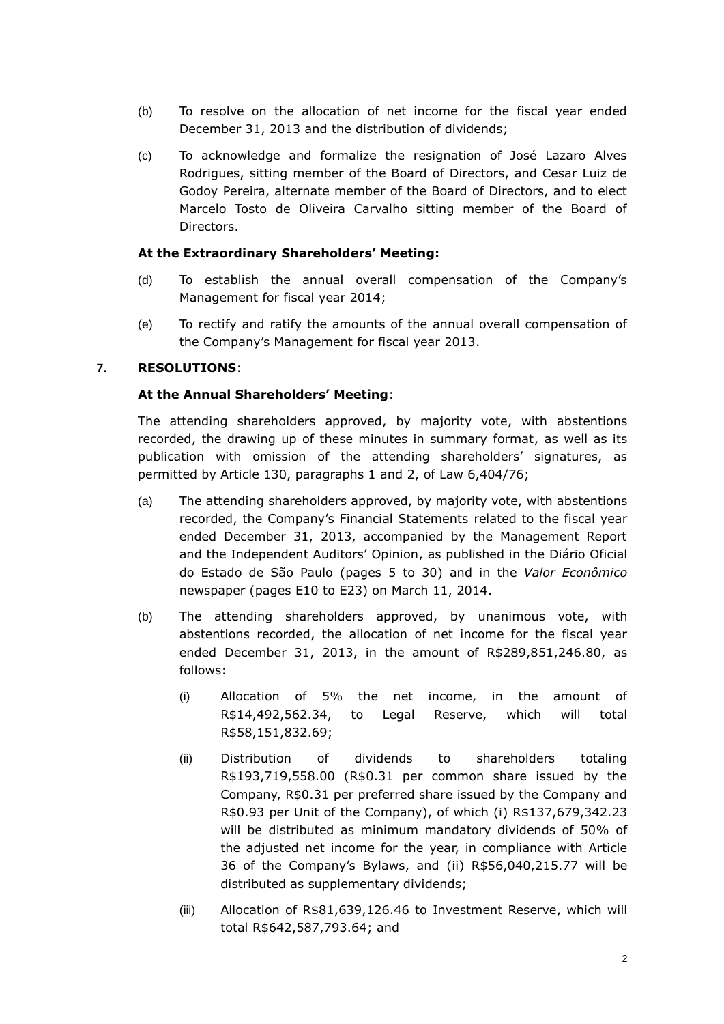- (b) To resolve on the allocation of net income for the fiscal year ended December 31, 2013 and the distribution of dividends;
- (c) To acknowledge and formalize the resignation of José Lazaro Alves Rodrigues, sitting member of the Board of Directors, and Cesar Luiz de Godoy Pereira, alternate member of the Board of Directors, and to elect Marcelo Tosto de Oliveira Carvalho sitting member of the Board of Directors.

### **At the Extraordinary Shareholders' Meeting:**

- (d) To establish the annual overall compensation of the Company's Management for fiscal year 2014;
- (e) To rectify and ratify the amounts of the annual overall compensation of the Company's Management for fiscal year 2013.

### **7. RESOLUTIONS**:

### **At the Annual Shareholders' Meeting**:

The attending shareholders approved, by majority vote, with abstentions recorded, the drawing up of these minutes in summary format, as well as its publication with omission of the attending shareholders' signatures, as permitted by Article 130, paragraphs 1 and 2, of Law 6,404/76;

- (a) The attending shareholders approved, by majority vote, with abstentions recorded, the Company's Financial Statements related to the fiscal year ended December 31, 2013, accompanied by the Management Report and the Independent Auditors' Opinion, as published in the Diário Oficial do Estado de São Paulo (pages 5 to 30) and in the *Valor Econômico* newspaper (pages E10 to E23) on March 11, 2014.
- (b) The attending shareholders approved, by unanimous vote, with abstentions recorded, the allocation of net income for the fiscal year ended December 31, 2013, in the amount of R\$289,851,246.80, as follows:
	- (i) Allocation of 5% the net income, in the amount of R\$14,492,562.34, to Legal Reserve, which will total R\$58,151,832.69;
	- (ii) Distribution of dividends to shareholders totaling R\$193,719,558.00 (R\$0.31 per common share issued by the Company, R\$0.31 per preferred share issued by the Company and R\$0.93 per Unit of the Company), of which (i) R\$137,679,342.23 will be distributed as minimum mandatory dividends of 50% of the adjusted net income for the year, in compliance with Article 36 of the Company's Bylaws, and (ii) R\$56,040,215.77 will be distributed as supplementary dividends;
	- (iii) Allocation of R\$81,639,126.46 to Investment Reserve, which will total R\$642,587,793.64; and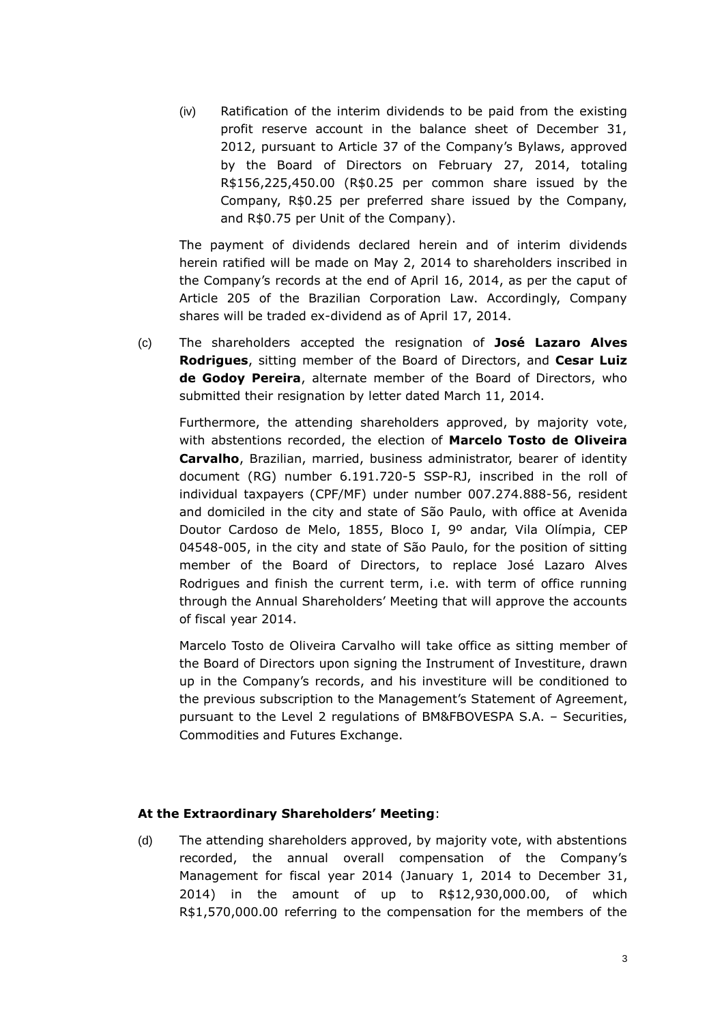(iv) Ratification of the interim dividends to be paid from the existing profit reserve account in the balance sheet of December 31, 2012, pursuant to Article 37 of the Company's Bylaws, approved by the Board of Directors on February 27, 2014, totaling R\$156,225,450.00 (R\$0.25 per common share issued by the Company, R\$0.25 per preferred share issued by the Company, and R\$0.75 per Unit of the Company).

The payment of dividends declared herein and of interim dividends herein ratified will be made on May 2, 2014 to shareholders inscribed in the Company's records at the end of April 16, 2014, as per the caput of Article 205 of the Brazilian Corporation Law. Accordingly, Company shares will be traded ex-dividend as of April 17, 2014.

(c) The shareholders accepted the resignation of **José Lazaro Alves Rodrigues**, sitting member of the Board of Directors, and **Cesar Luiz de Godoy Pereira**, alternate member of the Board of Directors, who submitted their resignation by letter dated March 11, 2014.

Furthermore, the attending shareholders approved, by majority vote, with abstentions recorded, the election of **Marcelo Tosto de Oliveira Carvalho**, Brazilian, married, business administrator, bearer of identity document (RG) number 6.191.720-5 SSP-RJ, inscribed in the roll of individual taxpayers (CPF/MF) under number 007.274.888-56, resident and domiciled in the city and state of São Paulo, with office at Avenida Doutor Cardoso de Melo, 1855, Bloco I, 9º andar, Vila Olímpia, CEP 04548-005, in the city and state of São Paulo, for the position of sitting member of the Board of Directors, to replace José Lazaro Alves Rodrigues and finish the current term, i.e. with term of office running through the Annual Shareholders' Meeting that will approve the accounts of fiscal year 2014.

Marcelo Tosto de Oliveira Carvalho will take office as sitting member of the Board of Directors upon signing the Instrument of Investiture, drawn up in the Company's records, and his investiture will be conditioned to the previous subscription to the Management's Statement of Agreement, pursuant to the Level 2 regulations of BM&FBOVESPA S.A. – Securities, Commodities and Futures Exchange.

#### **At the Extraordinary Shareholders' Meeting**:

(d) The attending shareholders approved, by majority vote, with abstentions recorded, the annual overall compensation of the Company's Management for fiscal year 2014 (January 1, 2014 to December 31, 2014) in the amount of up to R\$12,930,000.00, of which R\$1,570,000.00 referring to the compensation for the members of the